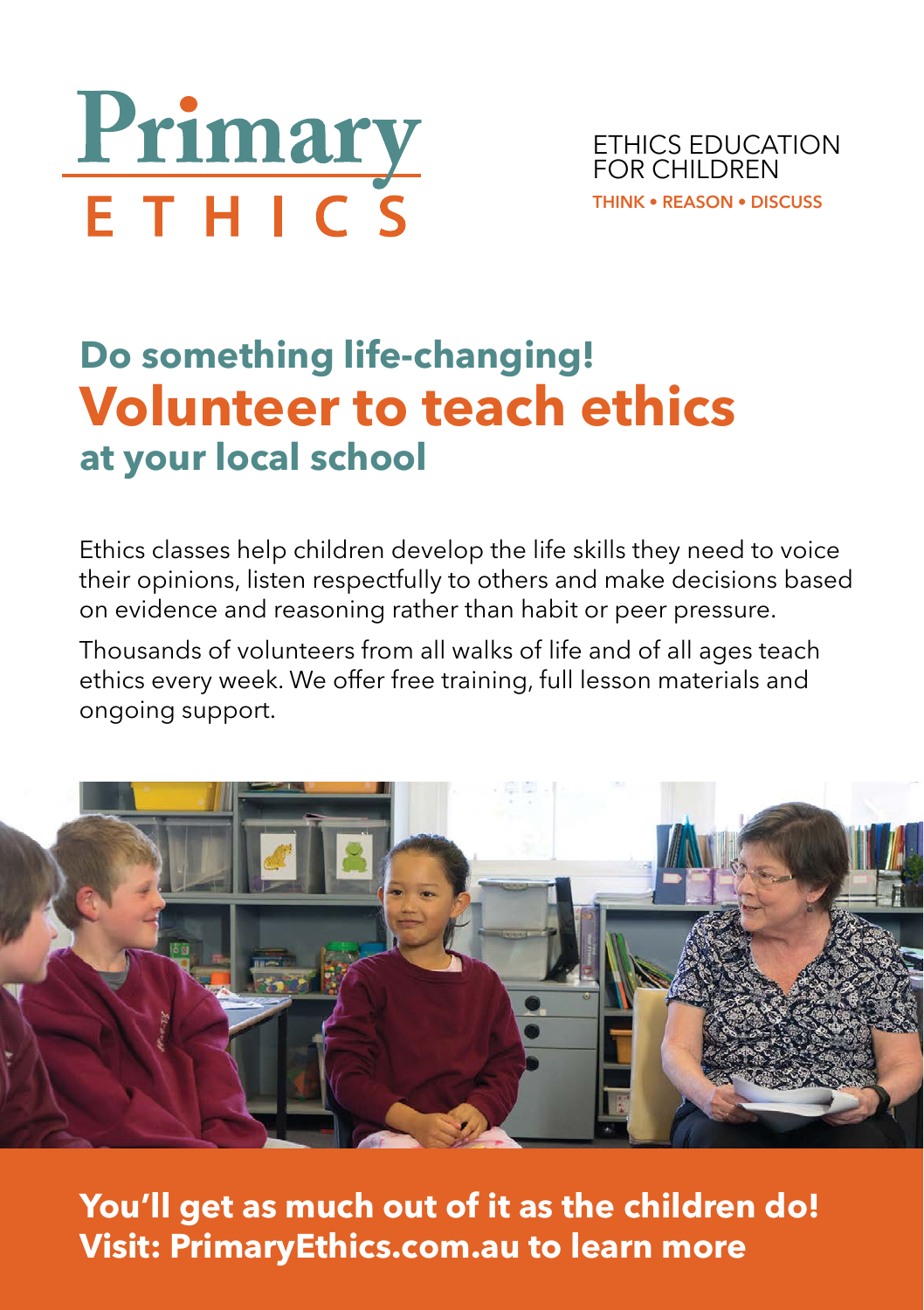

ETHICS EDUCATION FOR CHILDREN **THINK • REASON • DISCUSS**

## **Do something life-changing! Volunteer to teach ethics at your local school**

Ethics classes help children develop the life skills they need to voice their opinions, listen respectfully to others and make decisions based on evidence and reasoning rather than habit or peer pressure.

Thousands of volunteers from all walks of life and of all ages teach ethics every week. We offer free training, full lesson materials and ongoing support.



**You'll get as much out of it as the children do! Visit: PrimaryEthics.com.au to learn more**